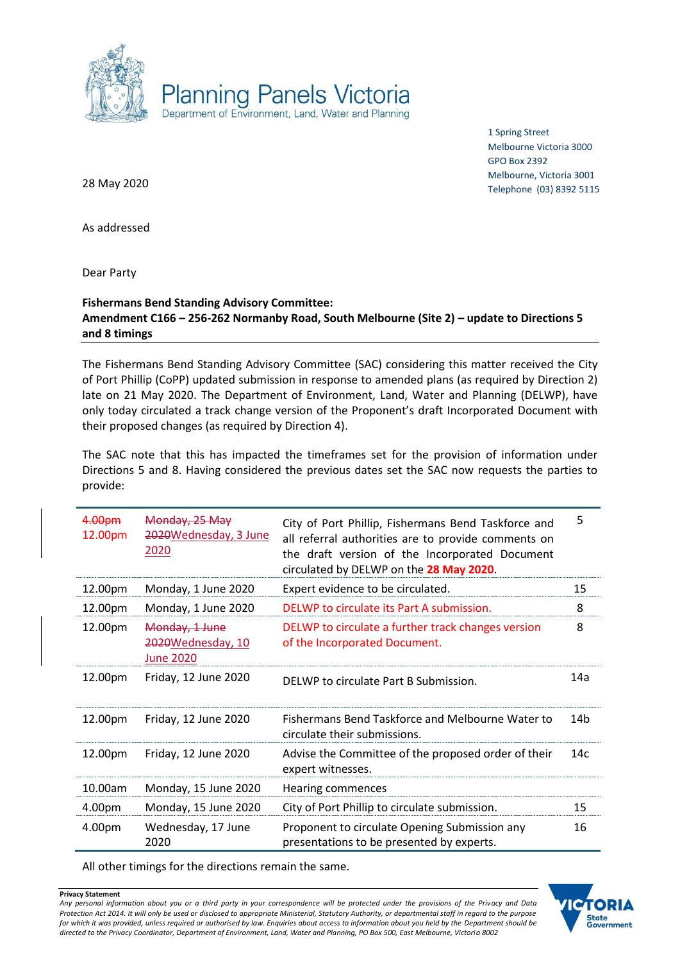

1 Spring Street Melbourne Victoria 3000 GPO Box 2392 Melbourne, Victoria 3001 Telephone (03) 8392 5115

28 May 2020

As addressed

Dear Party

## **Fishermans Bend Standing Advisory Committee: Amendment C166 – 256-262 Normanby Road, South Melbourne (Site 2) – update to Directions 5 and 8 timings**

The Fishermans Bend Standing Advisory Committee (SAC) considering this matter received the City of Port Phillip (CoPP) updated submission in response to amended plans (as required by Direction 2) late on 21 May 2020. The Department of Environment, Land, Water and Planning (DELWP), have only today circulated a track change version of the Proponent's draft Incorporated Document with their proposed changes (as required by Direction 4).

The SAC note that this has impacted the timeframes set for the provision of information under Directions 5 and 8. Having considered the previous dates set the SAC now requests the parties to provide:

| 4.00pm<br>12.00pm | Monday, 25 May<br>2020Wednesday, 3 June<br>2020         | City of Port Phillip, Fishermans Bend Taskforce and<br>all referral authorities are to provide comments on<br>the draft version of the Incorporated Document<br>circulated by DELWP on the 28 May 2020. | 5   |
|-------------------|---------------------------------------------------------|---------------------------------------------------------------------------------------------------------------------------------------------------------------------------------------------------------|-----|
| 12.00pm           | Monday, 1 June 2020                                     | Expert evidence to be circulated.                                                                                                                                                                       | 15  |
| 12.00pm           | Monday, 1 June 2020                                     | DELWP to circulate its Part A submission.                                                                                                                                                               | 8   |
| 12.00pm           | Monday, 1 June<br>2020Wednesday, 10<br><b>June 2020</b> | DELWP to circulate a further track changes version<br>of the Incorporated Document.                                                                                                                     | 8   |
| 12.00pm           | Friday, 12 June 2020                                    | DELWP to circulate Part B Submission.                                                                                                                                                                   | 14a |
| 12.00pm           | Friday, 12 June 2020                                    | Fishermans Bend Taskforce and Melbourne Water to<br>circulate their submissions.                                                                                                                        | 14b |
| 12.00pm           | Friday, 12 June 2020                                    | Advise the Committee of the proposed order of their<br>expert witnesses.                                                                                                                                | 14c |
| 10.00am           | Monday, 15 June 2020                                    | <b>Hearing commences</b>                                                                                                                                                                                |     |
| 4.00pm            | Monday, 15 June 2020                                    | City of Port Phillip to circulate submission.                                                                                                                                                           | 15  |
| 4.00pm            | Wednesday, 17 June<br>2020                              | Proponent to circulate Opening Submission any<br>presentations to be presented by experts.                                                                                                              | 16  |

All other timings for the directions remain the same.

**Privacy Statement** *Any personal information about you or a third party in your correspondence will be protected under the provisions of the Privacy and Data Protection Act 2014. It will only be used or disclosed to appropriate Ministerial, Statutory Authority, or departmental staff in regard to the purpose for which it was provided, unless required or authorised by law. Enquiries about access to information about you held by the Department should be directed to the Privacy Coordinator, Department of Environment, Land, Water and Planning, PO Box 500, East Melbourne, Victoria 8002*